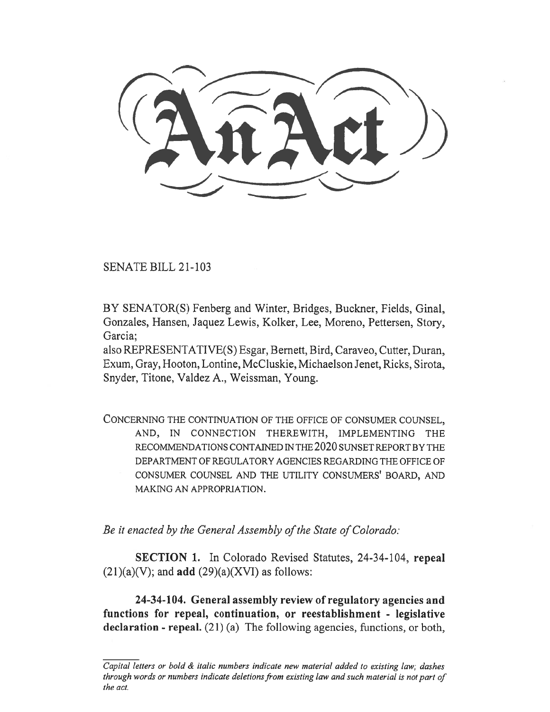SENATE BILL 21-103

BY SENATOR(S) Fenberg and Winter, Bridges, Buckner, Fields, Ginal, Gonzales, Hansen, Jaquez Lewis, Kolker, Lee, Moreno, Pettersen, Story, Garcia;

also REPRESENTATIVE(S) Esgar, Bernett, Bird, Caraveo, Cutter, Duran, Exum, Gray, Hooton, Lontine, McCluskie, Michaelson Jenet, Ricks, Sirota, Snyder, Titone, Valdez A., Weissman, Young.

CONCERNING THE CONTINUATION OF THE OFFICE OF CONSUMER COUNSEL, AND, IN CONNECTION THEREWITH, IMPLEMENTING THE RECOMMENDATIONS CONTAINED IN THE 2020 SUNSET REPORT BY THE DEPARTMENT OF REGULATORY AGENCIES REGARDING THE OFFICE OF CONSUMER COUNSEL AND THE UTILITY CONSUMERS' BOARD, AND MAKING AN APPROPRIATION.

Be it enacted by the General Assembly of the State of Colorado:

SECTION 1. In Colorado Revised Statutes, 24-34-104, repeal  $(21)(a)(V)$ ; and **add**  $(29)(a)(XVI)$  as follows:

24-34-104. General assembly review of regulatory agencies and functions for repeal, continuation, or reestablishment - legislative declaration - repeal. (21) (a) The following agencies, functions, or both,

Capital letters or bold  $\&$  italic numbers indicate new material added to existing law; dashes through words or numbers indicate deletions from existing law and such material is not part of the act.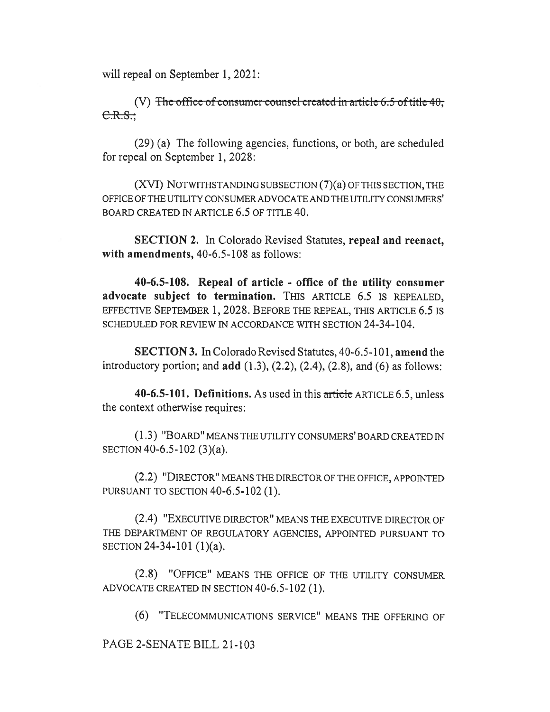will repeal on September 1, 2021:

(V) The office of consumer counsel created in article  $6.5$  of title  $40$ ;  $C.R.S.$ 

(29) (a) The following agencies, functions, or both, are scheduled for repeal on September 1, 2028:

(XVI) NOTWITHSTANDING SUBSECTION (7)(a) OF THIS SECTION, THE OFFICE OF THE UTILITY CONSUMER ADVOCATE AND THE UTILITY CONSUMERS' BOARD CREATED IN ARTICLE 6.5 OF TITLE 40.

SECTION 2. In Colorado Revised Statutes, repeal and reenact, with amendments, 40-6.5-108 as follows:

40-6.5-108. Repeal of article - office of the utility consumer advocate subject to termination. THIS ARTICLE 6.5 IS REPEALED, EFFECTIVE SEPTEMBER 1, 2028. BEFORE THE REPEAL, THIS ARTICLE 6.5 IS SCHEDULED FOR REVIEW IN ACCORDANCE WITH SECTION 24-34-104.

SECTION 3. In Colorado Revised Statutes, 40-6.5-101, amend the introductory portion; and  $add(1.3), (2.2), (2.4), (2.8), and (6)$  as follows:

40-6.5-101. Definitions. As used in this article ARTICLE 6.5, unless the context otherwise requires:

(1.3) "BOARD" MEANS THE UTILITY CONSUMERS' BOARD CREATED IN SECTION 40-6.5-102 (3)(a).

(2.2) "DIRECTOR" MEANS THE DIRECTOR OF THE OFFICE, APPOINTED PURSUANT TO SECTION 40-6.5-102 (1).

(2.4) "EXECUTIVE DIRECTOR" MEANS THE EXECUTIVE DIRECTOR OF THE DEPARTMENT OF REGULATORY AGENCIES, APPOINTED PURSUANT TO SECTION 24-34-101 (1)(a).

(2.8) "OFFICE" MEANS THE OFFICE OF THE UTILITY CONSUMER ADVOCATE CREATED IN SECTION 40-6.5-102 (1).

(6) "TELECOMMUNICATIONS SERVICE" MEANS THE OFFERING OF

PAGE 2-SENATE BILL 21-103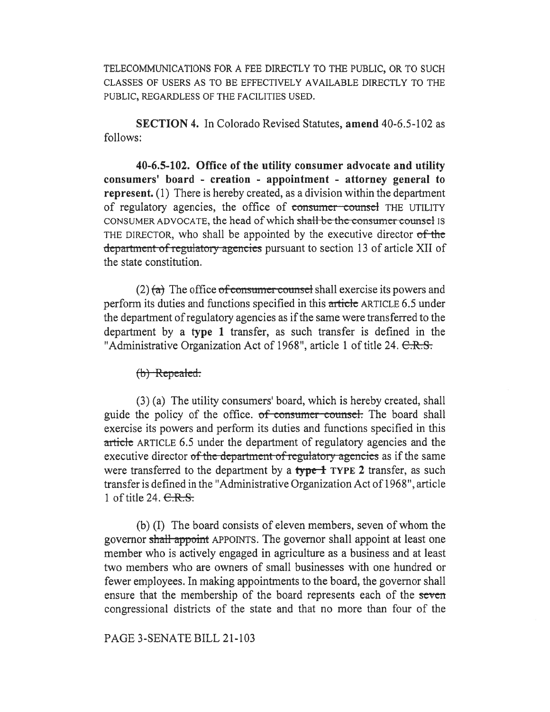TELECOMMUNICATIONS FOR A FEE DIRECTLY TO THE PUBLIC, OR TO SUCH CLASSES OF USERS AS TO BE EFFECTIVELY AVAILABLE DIRECTLY TO THE PUBLIC, REGARDLESS OF THE FACILITIES USED.

SECTION 4. In Colorado Revised Statutes, amend 40-6.5-102 as follows:

40-6.5-102. Office of the utility consumer advocate and utility consumers' board - creation - appointment - attorney general to represent. (1) There is hereby created, as a division within the department of regulatory agencies, the office of consumer counsel THE UTILITY CONSUMER ADVOCATE, the head of which shall be the consumer counsel is THE DIRECTOR, who shall be appointed by the executive director of the department of regulatory agencies pursuant to section 13 of article XII of the state constitution.

 $(2)$  (a) The office of consumer counsel shall exercise its powers and perform its duties and functions specified in this article ARTICLE 6.5 under the department of regulatory agencies as if the same were transferred to the department by a type 1 transfer, as such transfer is defined in the "Administrative Organization Act of 1968", article 1 of title 24. C.R.S.

 $(b)$  Repealed.

(3) (a) The utility consumers' board, which is hereby created, shall guide the policy of the office. of consumer counsel. The board shall exercise its powers and perform its duties and functions specified in this article ARTICLE 6.5 under the department of regulatory agencies and the executive director of the department of regulatory agencies as if the same were transferred to the department by a  $\frac{f}{f}$  TYPE 2 transfer, as such transfer is defined in the "Administrative Organization Act of 1968", article 1 of title 24.  $C.R.S.$ 

(b) (I) The board consists of eleven members, seven of whom the governor shall appoint APPOINTS. The governor shall appoint at least one member who is actively engaged in agriculture as a business and at least two members who are owners of small businesses with one hundred or fewer employees. In making appointments to the board, the governor shall ensure that the membership of the board represents each of the seven congressional districts of the state and that no more than four of the

PAGE 3-SENATE BILL 21-103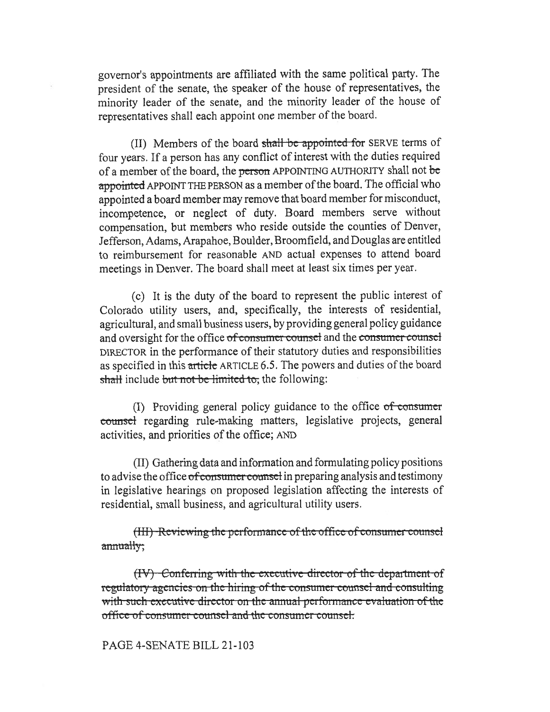governor's appointments are affiliated with the same political party. The president of the senate, the speaker of the house of representatives, the minority leader of the senate, and the minority leader of the house of representatives shall each appoint one member of the board.

(II) Members of the board shall be appointed for SERVE terms of four years. If a person has any conflict of interest with the duties required of a member of the board, the <del>person</del> APPOINTING AUTHORITY shall not <del>be</del> appointed APPOINT THE PERSON as a member of the board. The official who appointed a board member may remove that board member for misconduct, incompetence, or neglect of duty. Board members serve without compensation, but members who reside outside the counties of Denver, Jefferson, Adams, Arapahoe, Boulder, Broomfield, and Douglas are entitled to reimbursement for reasonable AND actual expenses to attend board meetings in Denver. The board shall meet at least six times per year.

(c) It is the duty of the board to represent the public interest of Colorado utility users, and, specifically, the interests of residential, agricultural, and small business users, by providing general policy guidance and oversight for the office of consumer counsel and the consumer counsel DIRECTOR in the performance of their statutory duties and responsibilities as specified in this article ARTICLE 6.5. The powers and duties of the board shall include but not be limited to, the following:

(I) Providing general policy guidance to the office  $of$  consumer counsel regarding rule-making matters, legislative projects, general activities, and priorities of the office; AND

(II) Gathering data and information and formulating policy positions to advise the office of consumer counsel in preparing analysis and testimony in legislative hearings on proposed legislation affecting the interests of residential, small business, and agricultural utility users.

(III) Reviewing the performance of the office of consumer counsel annually;

(IV) Conferring with the executive director of the department of regulatory agencies on the hiring of the consumer counsel and consulting with such executive director on the annual performance evaluation of the office of consumer counsel and the consumer counsel.

## PAGE 4-SENATE BILL 21-103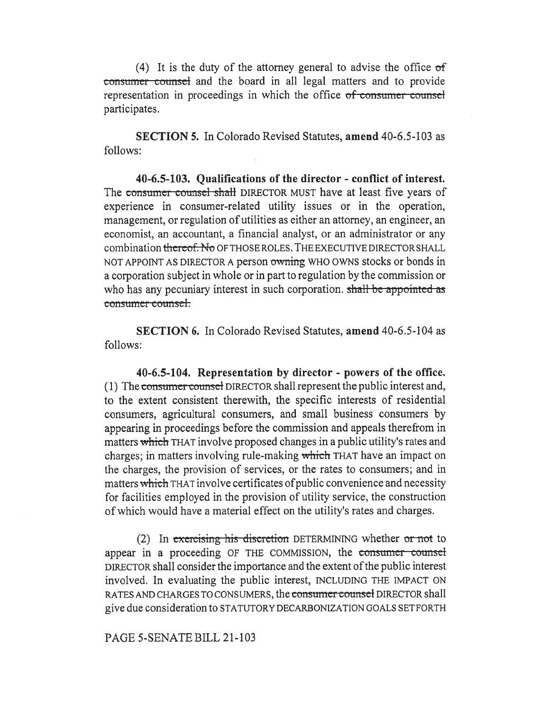(4) It is the duty of the attorney general to advise the office  $of$ consumer counsel and the board in all legal matters and to provide representation in proceedings in which the office of consumer counsel participates.

SECTION 5. In Colorado Revised Statutes, amend 40-6.5-103 as follows:

40-6.5-103. Qualifications of the director - conflict of interest. The consumer counsel shall DIRECTOR MUST have at least five years of experience in consumer-related utility issues or in the operation, management, or regulation of utilities as either an attorney, an engineer, an economist, an accountant, a financial analyst, or an administrator or any combination thereof. No OF THOSE ROLES. THE EXECUTIVE DIRECTOR SHALL NOT APPOINT AS DIRECTOR A person owning WHO OWNS stocks or bonds in a corporation subject in whole or in part to regulation by the commission or who has any pecuniary interest in such corporation. shall be appointed as consumer counsel.

SECTION 6. In Colorado Revised Statutes, amend 40-6.5-104 as follows:

40-6.5-104. Representation by director - powers of the office. (1) The consumer counsel DIRECTOR shall represent the public interest and, to the extent consistent therewith, the specific interests of residential consumers, agricultural consumers, and small business consumers by appearing in proceedings before the commission and appeals therefrom in matters which THAT involve proposed changes in a public utility's rates and charges; in matters involving rule-making which THAT have an impact on the charges, the provision of services, or the rates to consumers; and in matters which THAT involve certificates of public convenience and necessity for facilities employed in the provision of utility service, the construction of which would have a material effect on the utility's rates and charges.

(2) In exercising-his-discretion DETERMINING whether or not to appear in a proceeding OF THE COMMISSION, the consumer counsel DIRECTOR shall consider the importance and the extent of the public interest involved. In evaluating the public interest, INCLUDING THE IMPACT ON RATES AND CHARGES TO CONSUMERS, the consumer counsel DIRECTOR shall give due consideration to STATUTORY DECARBONIZATION GOALS SET FORTH

PAGE 5-SENATE BILL 21-103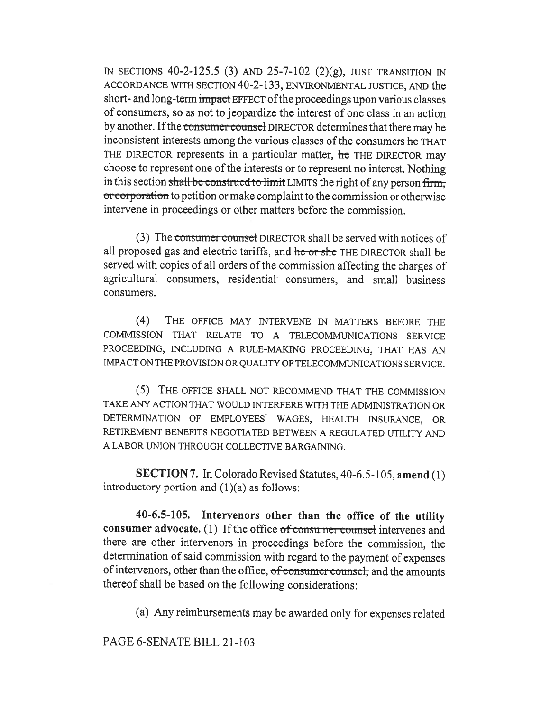IN SECTIONS 40-2-125.5 (3) AND 25-7-102 (2)(g), JUST TRANSITION IN ACCORDANCE WITH SECTION 40-2-133, ENVIRONMENTAL JUSTICE, AND the short- and long-term impact EFFECT of the proceedings upon various classes of consumers, so as not to jeopardize the interest of one class in an action by another. If the consumer counsel DIRECTOR determines that there may be inconsistent interests among the various classes of the consumers he THAT THE DIRECTOR represents in a particular matter, he THE DIRECTOR may choose to represent one of the interests or to represent no interest. Nothing in this section shall be construed to limit LIMITS the right of any person firm, or corporation to petition or make complaint to the commission or otherwise intervene in proceedings or other matters before the commission.

(3) The consumer counset DIRECTOR shall be served with notices of all proposed gas and electric tariffs, and he or she THE DIRECTOR shall be served with copies of all orders of the commission affecting the charges of agricultural consumers, residential consumers, and small business consumers.

(4) THE OFFICE MAY INTERVENE IN MATTERS BEFORE THE COMMISSION THAT RELATE TO A TELECOMMUNICATIONS SERVICE PROCEEDING, INCLUDING A RULE-MAKING PROCEEDING, THAT HAS AN IMPACT ON THE PROVISION OR QUALITY OF TELECOMMUNICATIONS SERVICE.

(5) THE OFFICE SHALL NOT RECOMMEND THAT THE COMMISSION TAKE ANY ACTION THAT WOULD INTERFERE WITH THE ADMINISTRATION OR DETERMINATION OF EMPLOYEES' WAGES, HEALTH INSURANCE, OR RETIREMENT BENEFITS NEGOTIATED BETWEEN A REGULATED UTILITY AND A LABOR UNION THROUGH COLLECTIVE BARGAINING.

SECTION 7. In Colorado Revised Statutes, 40-6.5-105, amend (1) introductory portion and  $(1)(a)$  as follows:

40-6.5-105. Intervenors other than the office of the utility consumer advocate. (1) If the office  $of$  consumer counsel intervenes and there are other intervenors in proceedings before the commission, the determination of said commission with regard to the payment of expenses of intervenors, other than the office, of consumer counsel, and the amounts thereof shall be based on the following considerations:

(a) Any reimbursements may be awarded only for expenses related

PAGE 6-SENATE BILL 21-103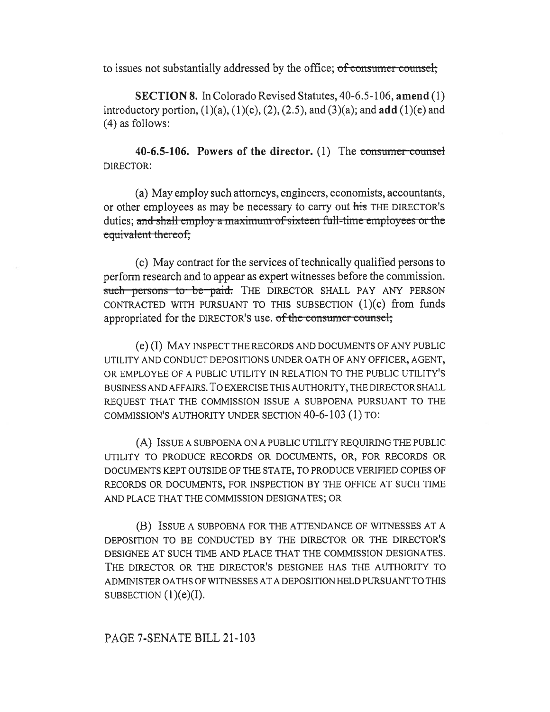to issues not substantially addressed by the office; of consumer counsel;

SECTION 8. In Colorado Revised Statutes, 40-6.5-106, amend (1) introductory portion,  $(1)(a)$ ,  $(1)(c)$ ,  $(2)$ ,  $(2.5)$ , and  $(3)(a)$ ; and  $add (1)(e)$  and (4) as follows:

40-6.5-106. Powers of the director. (1) The consumer counsel DIRECTOR:

(a) May employ such attorneys, engineers, economists, accountants, or other employees as may be necessary to carry out his THE DIRECTOR'S duties; and shall employ a maximum of sixteen full-time employees or the equivalent thereof;

(c) May contract for the services of technically qualified persons to perform research and to appear as expert witnesses before the commission. such persons to be paid. THE DIRECTOR SHALL PAY ANY PERSON CONTRACTED WITH PURSUANT TO THIS SUBSECTION (1)(c) from funds appropriated for the DIRECTOR's use. of the consumer counsel;

(e) (I) MAY INSPECT THE RECORDS AND DOCUMENTS OF ANY PUBLIC UTILITY AND CONDUCT DEPOSITIONS UNDER OATH OF ANY OFFICER, AGENT, OR EMPLOYEE OF A PUBLIC UTILITY IN RELATION TO THE PUBLIC UTILITY'S BUSINESS AND AFFAIRS. To EXERCISE THIS AUTHORITY, THE DIRECTOR SHALL REQUEST THAT THE COMMISSION ISSUE A SUBPOENA PURSUANT TO THE COMMISSION'S AUTHORITY UNDER SECTION 40-6-103 (1) TO:

(A) ISSUE A SUBPOENA ON A PUBLIC UTILITY REQUIRING THE PUBLIC UTILITY TO PRODUCE RECORDS OR DOCUMENTS, OR, FOR RECORDS OR DOCUMENTS KEPT OUTSIDE OF THE STATE, TO PRODUCE VERIFIED COPIES OF RECORDS OR DOCUMENTS, FOR INSPECTION BY THE OFFICE AT SUCH TIME AND PLACE THAT THE COMMISSION DESIGNATES; OR

(B) ISSUE A SUBPOENA FOR THE ATTENDANCE OF WITNESSES AT A DEPOSITION TO BE CONDUCTED BY THE DIRECTOR OR THE DIRECTOR'S DESIGNEE AT SUCH TIME AND PLACE THAT THE COMMISSION DESIGNATES. THE DIRECTOR OR THE DIRECTOR'S DESIGNEE HAS THE AUTHORITY TO ADMINISTER OATHS OF WITNESSES AT A DEPOSITION HELD PURSUANT TO THIS SUBSECTION  $(1)(e)(I)$ .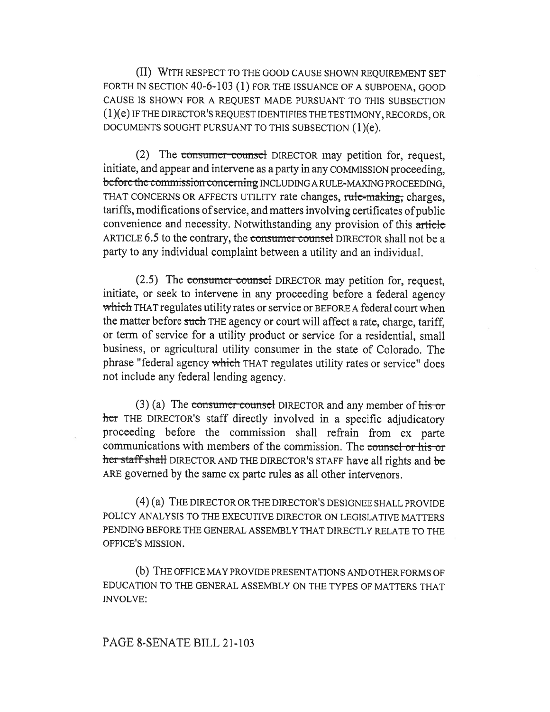(II) WITH RESPECT TO THE GOOD CAUSE SHOWN REQUIREMENT SET FORTH IN SECTION 40-6-103 (1) FOR THE ISSUANCE OF A SUBPOENA, GOOD CAUSE IS SHOWN FOR A REQUEST MADE PURSUANT TO THIS SUBSECTION (1)(e) IF THE DIRECTOR'S REQUEST IDENTIFIES THE TESTIMONY, RECORDS, OR DOCUMENTS SOUGHT PURSUANT TO THIS SUBSECTION (1)(e).

(2) The consumer counsel DIRECTOR may petition for, request, initiate, and appear and intervene as a party in any COMMISSION proceeding, before the commission concerning INCLUDING A RULE-MAKING PROCEEDING. THAT CONCERNS OR AFFECTS UTILITY rate changes, rule-making, charges, tariffs, modifications of service, and matters involving certificates of public convenience and necessity. Notwithstanding any provision of this article ARTICLE 6.5 to the contrary, the consumer-counsel DIRECTOR shall not be a party to any individual complaint between a utility and an individual.

 $(2.5)$  The consumer-counsel DIRECTOR may petition for, request, initiate, or seek to intervene in any proceeding before a federal agency which THAT regulates utility rates or service or BEFORE A federal court when the matter before such THE agency or court will affect a rate, charge, tariff, or term of service for a utility product or service for a residential, small business, or agricultural utility consumer in the state of Colorado. The phrase "federal agency which THAT regulates utility rates or service" does not include any federal lending agency.

 $(3)$  (a) The consumer counsel DIRECTOR and any member of his or her THE DIRECTOR's staff directly involved in a specific adjudicatory proceeding before the commission shall refrain from ex parte communications with members of the commission. The counsel or his or her staff shall DIRECTOR AND THE DIRECTOR'S STAFF have all rights and be ARE governed by the same ex parte rules as all other intervenors.

(4) (a) THE DIRECTOR OR THE DIRECTOR'S DESIGNEE SHALL PROVIDE POLICY ANALYSIS TO THE EXECUTIVE DIRECTOR ON LEGISLATIVE MATTERS PENDING BEFORE THE GENERAL ASSEMBLY THAT DIRECTLY RELATE TO THE OFFICE'S MISSION.

(b) THE OFFICE MAY PROVIDE PRESENTATIONS AND OTHER FORMS OF EDUCATION TO THE GENERAL ASSEMBLY ON THE TYPES OF MATTERS THAT INVOLVE: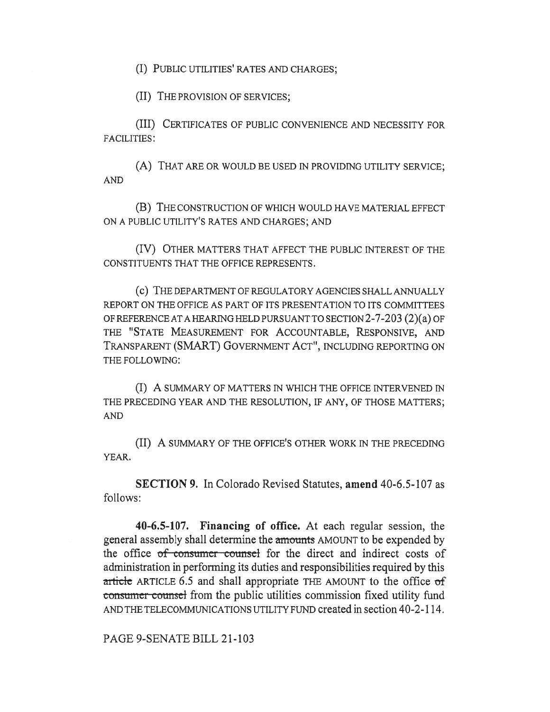(I) PUBLIC UTILITIES' RATES AND CHARGES;

(II) THE PROVISION OF SERVICES;

(III) CERTIFICATES OF PUBLIC CONVENIENCE AND NECESSITY FOR FACILITIES:

(A) THAT ARE OR WOULD BE USED IN PROVIDING UTILITY SERVICE; AND

(B) THE CONSTRUCTION OF WHICH WOULD HAVE MATERIAL EFFECT ON A PUBLIC UTILITY'S RATES AND CHARGES; AND

(IV) OTHER MATTERS THAT AFFECT THE PUBLIC INTEREST OF THE CONSTITUENTS THAT THE OFFICE REPRESENTS.

(c) THE DEPARTMENT OF REGULATORY AGENCIES SHALL ANNUALLY REPORT ON THE OFFICE AS PART OF ITS PRESENTATION TO ITS COMMITTEES OF REFERENCE AT A HEARING HELD PURSUANT TO SECTION 2-7-203 (2)(a) OF THE "STATE MEASUREMENT FOR ACCOUNTABLE, RESPONSIVE, AND TRANSPARENT (SMART) GOVERNMENT ACT", INCLUDING REPORTING ON THE FOLLOWING:

(I) A SUMMARY OF MATTERS IN WHICH THE OFFICE INTERVENED IN THE PRECEDING YEAR AND THE RESOLUTION, IF ANY, OF THOSE MATTERS; AND

(II) A SUMMARY OF THE OFFICE'S OTHER WORK IN THE PRECEDING YEAR.

SECTION 9. In Colorado Revised Statutes, amend 40-6.5-107 as follows:

40-6.5-107. Financing of office. At each regular session, the general assembly shall determine the amounts AMOUNT to be expended by the office of consumer counsel for the direct and indirect costs of administration in performing its duties and responsibilities required by this article ARTICLE 6.5 and shall appropriate THE AMOUNT to the office  $of$ consumer counsel from the public utilities commission fixed utility fund AND THE TELECOMMUNICATIONS UTILITY FUND created in section 40-2-114.

PAGE 9-SENATE BILL 21-103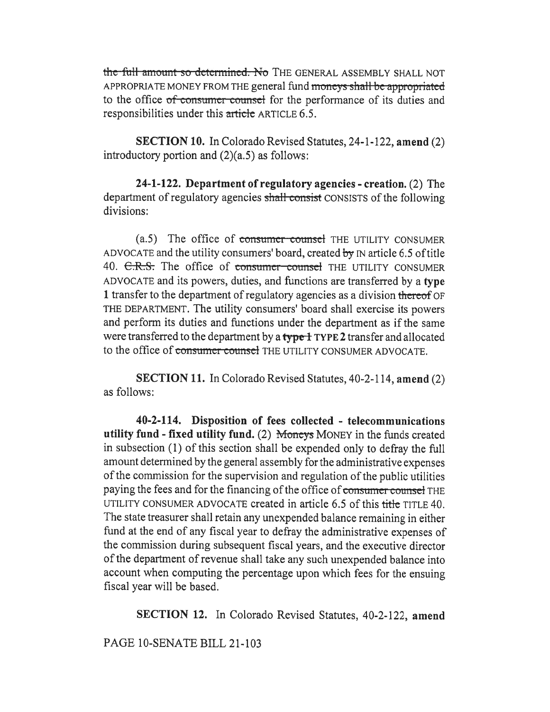the full amount so determined. No THE GENERAL ASSEMBLY SHALL NOT APPROPRIATE MONEY FROM THE general fund moneys shall be appropriated to the office of consumer counsel for the performance of its duties and responsibilities under this article ARTICLE 6.5.

**SECTION 10.** In Colorado Revised Statutes, 24-1-122, amend (2) introductory portion and  $(2)(a.5)$  as follows:

24-1-122. Department of regulatory agencies - creation. (2) The department of regulatory agencies shall consist CONSISTS of the following divisions:

(a.5) The office of consumer counsel THE UTILITY CONSUMER ADVOCATE and the utility consumers' board, created by  $N$  article 6.5 of title 40. C.R.S. The office of consumer counsel THE UTILITY CONSUMER ADVOCATE and its powers, duties, and functions are transferred by a type 1 transfer to the department of regulatory agencies as a division thereof OF THE DEPARTMENT. The utility consumers' board shall exercise its powers and perform its duties and functions under the department as if the same were transferred to the department by a type 1 TYPE 2 transfer and allocated to the office of consumer counsel THE UTILITY CONSUMER ADVOCATE.

**SECTION 11.** In Colorado Revised Statutes, 40-2-114, amend (2) as follows:

40-2-114. Disposition of fees collected - telecommunications utility fund - fixed utility fund. (2) Moneys MONEY in the funds created in subsection (1) of this section shall be expended only to defray the full amount determined by the general assembly for the administrative expenses of the commission for the supervision and regulation of the public utilities paying the fees and for the financing of the office of consumer counsel THE UTILITY CONSUMER ADVOCATE created in article 6.5 of this title TITLE 40. The state treasurer shall retain any unexpended balance remaining in either fund at the end of any fiscal year to defray the administrative expenses of the commission during subsequent fiscal years, and the executive director of the department of revenue shall take any such unexpended balance into account when computing the percentage upon which fees for the ensuing fiscal year will be based.

**SECTION 12.** In Colorado Revised Statutes, 40-2-122, amend

PAGE 10-SENATE BILL 21-103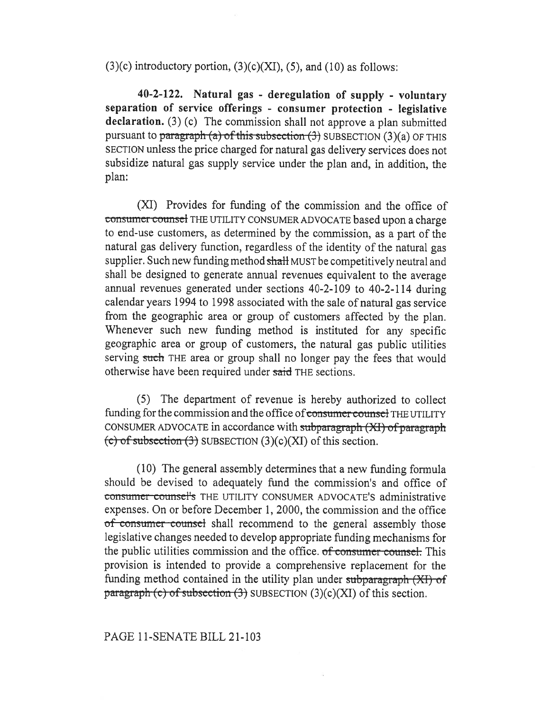$(3)(c)$  introductory portion,  $(3)(c)(XI)$ ,  $(5)$ , and  $(10)$  as follows:

40-2-122. Natural gas - deregulation of supply - voluntary separation of service offerings - consumer protection - legislative declaration. (3) (c) The commission shall not approve a plan submitted pursuant to paragraph (a) of this subsection  $(3)$  SUBSECTION  $(3)(a)$  OF THIS SECTION unless the price charged for natural gas delivery services does not subsidize natural gas supply service under the plan and, in addition, the plan:

(XI) Provides for funding of the commission and the office of consumer counsel THE UTILITY CONSUMER ADVOCATE based upon a charge to end-use customers, as determined by the commission, as a part of the natural gas delivery function, regardless of the identity of the natural gas supplier. Such new funding method shall MUST be competitively neutral and shall be designed to generate annual revenues equivalent to the average annual revenues generated under sections 40-2-109 to 40-2-114 during calendar years 1994 to 1998 associated with the sale of natural gas service from the geographic area or group of customers affected by the plan. Whenever such new funding method is instituted for any specific geographic area or group of customers, the natural gas public utilities serving such THE area or group shall no longer pay the fees that would otherwise have been required under said THE sections.

(5) The department of revenue is hereby authorized to collect funding for the commission and the office of consumer counsel THE UTILITY CONSUMER ADVOCATE in accordance with subparagraph (XI) of paragraph (c) of subsection  $(3)$  SUBSECTION  $(3)(c)(XI)$  of this section.

(10) The general assembly determines that a new funding formula should be devised to adequately fund the commission's and office of consumer counsel's THE UTILITY CONSUMER ADVOCATE'S administrative expenses. On or before December 1, 2000, the commission and the office of consumer counsel shall recommend to the general assembly those legislative changes needed to develop appropriate funding mechanisms for the public utilities commission and the office. of consumer counsel. This provision is intended to provide a comprehensive replacement for the funding method contained in the utility plan under subparagraph  $(XI)$  of paragraph (c) of subsection (3) SUBSECTION (3)(c)(XI) of this section.

## PAGE 11-SENATE BILL 21-103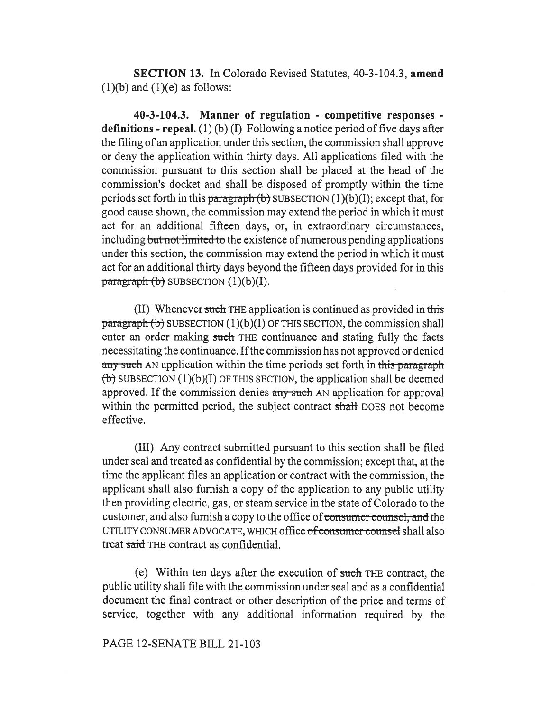SECTION 13. In Colorado Revised Statutes, 40-3-104.3, amend  $(1)(b)$  and  $(1)(e)$  as follows:

40-3-104.3. Manner of regulation - competitive responses definitions - repeal.  $(1)(b)(I)$  Following a notice period of five days after the filing of an application under this section, the commission shall approve or deny the application within thirty days. All applications filed with the commission pursuant to this section shall be placed at the head of the commission's docket and shall be disposed of promptly within the time periods set forth in this paragraph  $(b)$  SUBSECTION  $(1)(b)(I)$ ; except that, for good cause shown, the commission may extend the period in which it must act for an additional fifteen days, or, in extraordinary circumstances, including but not limited to the existence of numerous pending applications under this section, the commission may extend the period in which it must act for an additional thirty days beyond the fifteen days provided for in this  $\frac{\text{pargraph}}{\text{b}}$  SUBSECTION (1)(b)(I).

(II) Whenever such THE application is continued as provided in this  $\frac{\text{parameter of}}{\text{parameter of}}$  subsection (1)(b)(I) of this section, the commission shall enter an order making such THE continuance and stating fully the facts necessitating the continuance. If the commission has not approved or denied any such AN application within the time periods set forth in this paragraph  $(b)$  SUBSECTION (1)(b)(I) OF THIS SECTION, the application shall be deemed approved. If the commission denies any such AN application for approval within the permitted period, the subject contract shall DOES not become effective.

(III) Any contract submitted pursuant to this section shall be filed under seal and treated as confidential by the commission; except that, at the time the applicant files an application or contract with the commission, the applicant shall also furnish a copy of the application to any public utility then providing electric, gas, or steam service in the state of Colorado to the customer, and also furnish a copy to the office of consumer counsel, and the UTILITY CONSUMER ADVOCATE, WHICH office of consumer counsel shall also treat said THE contract as confidential.

(e) Within ten days after the execution of such THE contract, the public utility shall file with the commission under seal and as a confidential document the final contract or other description of the price and terms of service, together with any additional information required by the

## PAGE 12-SENATE BILL 21-103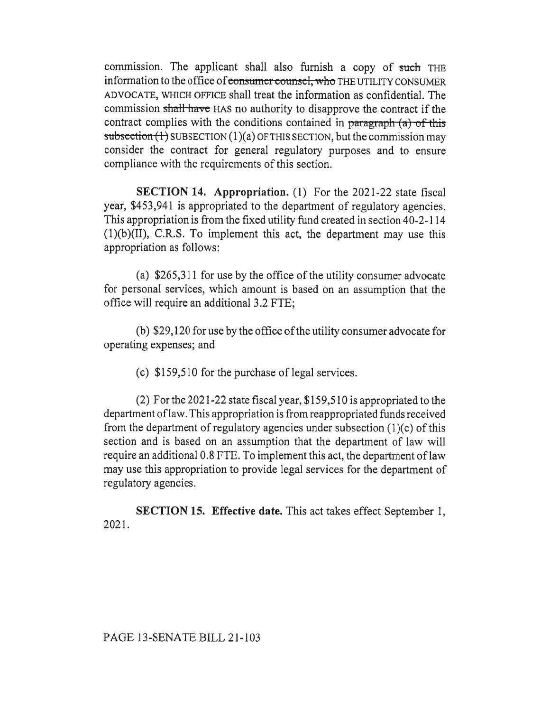commission. The applicant shall also furnish a copy of such THE information to the office of consumer counsel, who THE UTILITY CONSUMER ADVOCATE, WHICH OFFICE shall treat the information as confidential. The commission shall havc HAS no authority to disapprove the contract if the contract complies with the conditions contained in paragraph  $(a)$  of this subsection  $(1)$  SUBSECTION  $(1)(a)$  OF THIS SECTION, but the commission may consider the contract for general regulatory purposes and to ensure compliance with the requirements of this section.

SECTION 14. Appropriation. (1) For the 2021-22 state fiscal year, \$453,941 is appropriated to the department of regulatory agencies. This appropriation is from the fixed utility fund created in section 40-2-114 (1)(b)(II), C.R.S. To implement this act, the department may use this appropriation as follows:

(a) \$265,311 for use by the office of the utility consumer advocate for personal services, which amount is based on an assumption that the office will require an additional 3.2 FTE;

(b) \$29,120 for use by the office of the utility consumer advocate for operating expenses; and

(c) \$159,510 for the purchase of legal services.

(2) For the 2021-22 state fiscal year, \$159,510 is appropriated to the department of law. This appropriation is from reappropriated funds received from the department of regulatory agencies under subsection (1)(c) of this section and is based on an assumption that the department of law will require an additional 0.8 FTE. To implement this act, the department of law may use this appropriation to provide legal services for the department of regulatory agencies.

SECTION 15. Effective date. This act takes effect September 1, 2021.